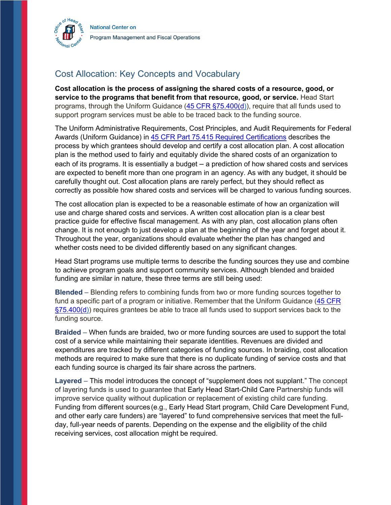

## Cost Allocation: Key Concepts and Vocabulary

 **Cost allocation is the process of assigning the shared costs of a resource, good, or service to the programs that benefit from that resource, good, or service.** Head Start programs, through the Uniform Guidance [\(45 CFR §75.400\(d\)\)](https://www.ecfr.gov/cgi-bin/text-idx?node=pt45.1.75#se45.1.75_1400), require that all funds used to support program services must be able to be traced back to the funding source.

 The Uniform Administrative Requirements, Cost Principles, and Audit Requirements for Federal Awards (Uniform Guidance) in [45 CFR Part 75.415 Required Certifications](https://www.ecfr.gov/cgi-bin/text-idx?node=pt45.1.75#se45.1.75_1400) describes the process by which grantees should develop and certify a cost allocation plan. A cost allocation each of its programs. It is essentially a budget – a prediction of how shared costs and services are expected to benefit more than one program in an agency. As with any budget, it should be carefully thought out. Cost allocation plans are rarely perfect, but they should reflect as correctly as possible how shared costs and services will be charged to various funding sources. plan is the method used to fairly and equitably divide the shared costs of an organization to

 The cost allocation plan is expected to be a reasonable estimate of how an organization will use and charge shared costs and services. A written cost allocation plan is a clear best practice guide for effective fiscal management. As with any plan, cost allocation plans often change. It is not enough to just develop a plan at the beginning of the year and forget about it. Throughout the year, organizations should evaluate whether the plan has changed and whether costs need to be divided differently based on any significant changes.

 Head Start programs use multiple terms to describe the funding sources they use and combine to achieve program goals and support community services. Although blended and braided funding are similar in nature, these three terms are still being used:

 **Blended** – Blending refers to combining funds from two or more funding sources together to fund a specific part of a program or initiative. Remember that the Uniform Guidance (45 CFR  $\S75.400(d)$ ) requires grantees be able to trace all funds used to support services back to the funding source.

 **Braided** – When funds are braided, two or more funding sources are used to support the total cost of a service while maintaining their separate identities. Revenues are divided and expenditures are tracked by different categories of funding sources. In braiding, cost allocation methods are required to make sure that there is no duplicate funding of service costs and that each funding source is charged its fair share across the partners.

 **Layered** – This model introduces the concept of "supplement does not supplant." The concept of layering funds is used to guarantee that Early Head Start-Child Care Partnership funds will improve service quality without duplication or replacement of existing child care funding. Funding from different sources(e.g., Early Head Start program, Child Care Development Fund, and other early care funders) are "layered" to fund comprehensive services that meet the full- day, full-year needs of parents. Depending on the expense and the eligibility of the child receiving services, cost allocation might be required.